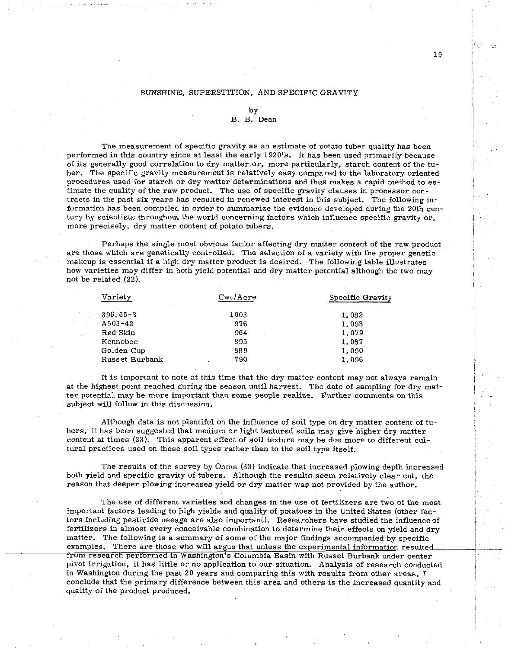## SUNSHINE, SUPERSTITION, AND SPECIFIC GRAVITY

## by

## B. B. Dean

The measurement of specific gravity as an estimate of potato tuber quality has been performed in this country since at least the early 1920's. It has been used primarily because of its generally good correlation to dry matter or, more particularly, starch content of the tuber. The specific gravity measurement is relatively easy compared to the laboratory oriented procedures used for starch or dry matter determinations and thus makes a rapid method to estimate the quality of the raw product. The use of specific gravity clauses in processor contracts in the past six years has resulted in renewed interest in this subject. The following information has been compiled in order to summarize the evidence developed during the 20th century by scientists throughout the world concerning factors which influence specific gravity or, more precisely, dry matter content of potato tubers.

Perhaps the single most obvious factor affecting dry matter content of the raw product are those which are genetically controlled. The selection of a variety with the proper genetic makeup is essential if a high dry matter product is desired. The following table illustrates how varieties may differ in both yield potential and dry matter potential although the two may not be related (22).

| Variety        | Cwt/Acre | Specific Gravity |  |
|----------------|----------|------------------|--|
| $396.55 - 3$   | 1003     | 1.082            |  |
| A503-42        | 976      | 1.093            |  |
| Red Skin       | 964      | 1.079            |  |
| Kennebec       | 895      | 1.087            |  |
| Golden Cup     | 889      | 1.090            |  |
| Russet Burbank | 790      | 1.096            |  |

It is important to note at this time that the dry matter content may not always remain at the highest point reached during the season until harvest. The date of sampling for dry matter potential may be more important than some people realize. Further comments on this subject will follow in this discussion.

Although data is not plentiful on the influence of soil type on dry matter content of tuhers, it has been suggested that medium or light textured soils may give higher dry matter content at times (33). This apparent effect of soil texture may be due more to different cultural practices used on these soil types rather than to the soil type itself.

The results of the survey by Ohms (33) indicate that increased plowing depth increased both yield and specific gravity of tubers. Although the results seem relatively clear cut, the reason that deeper plowing increases yield or dry matter was not provided by the author.

The use of different varieties and changes in the use of fertilizers are two of the most important factors leading to high yields and quality of potatoes in the United States (other factors including pesticide useage are also important). Researchers have studied the influence of fertilizers in almost every conceivable combination to determine their effects on yield and dry matter. The following is a summary of some of the major findings accompanied by specific examples. There are those who will argue that unless the experimental information resulted from research performed in Washington's Columbia Basin with Russet Burbank under center pivot irrigation, it has little or no application to our situation. Analysis of research conducted in Washington during the past 20 years and comparing this with results from other areas, I conclude that the primary difference between this area and others is the increased quantity and quality of the product produced.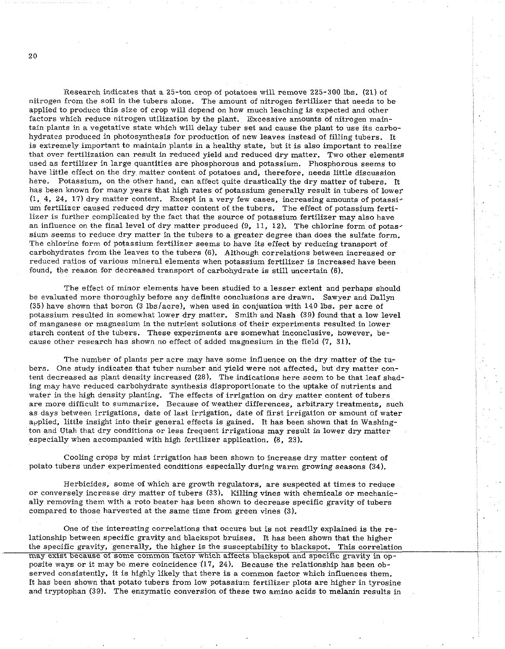Research indicates that a 25-ton crop of potatoes will remove 225-300 lbs. (21) of nitrogen from the soil in the tubers alone. The amount of nitrogen fertilizer that needs to be applied to produce this size of crop will depend on how much leaching is expected and other factors which reduce nitrogen utilization by the plant. Excessive amounts of nitrogen maintain plants in a vegetative state which will delay tuber set and cause the plant to use its carbohydrates produced in photosynthesis for production of new leaves instead of filling tubers. It is extremely important to maintain plants in a healthy state, but it is also important to realize that over fertilization can result in reduced yield and reduced dry matter. Two other elements used as fertilizer in large quantities are phosphorous and potassium. Phosphorous seems to have little effect on the dry matter content of potatoes and, therefore, needs little discussion here. Potassium, on the other hand, can affect quite drastically the dry matter of tubers. It has been known for many years that high rates of potassium generally result in tubers of lower (1, 4, 24, 17) dry matter content. Except in a very few cases, increasing amounts of potassium fertilizer caused reduced dry matter content of the tubers. The effect of potassium fertilizer is further complicated by the fact that the source of potassium fertilizer may also have an influence on the final level of dry matter produced  $(9, 11, 12)$ . The chlorine form of potassium seems to reduce dry matter in the tubers to a greater degree than does the sulfate form. The chlorine form of potassium fertilizer seems to have its effect by reducing transport of carbohydrates from the leaves to the tubers **(6).** Although correlations between increased or reduced ratios of various mineral elements when potassium fertilizer is increased have been found, the reason for decreased transport of carbohydrate is still uncertain **(6).** 

The effect of minor elements have been studied to a lesser extent and perhaps should be evaluated more thoroughly before any definite conclusions are drawn. Sawyer and Dallyn  $(35)$  have shown that boron  $(3 \text{ lbs/acre})$ , when used in conjuntion with 140 lbs. per acre of potassium resulted in somewhat lower dry matter. Smith and Nash (39) found that a low level of manganese or magnesium in the nutrient solutions of their experiments resulted in lower starch content of the tubers. These experiments are somewhat inconclusive, however, because other research has shown no effect of added magnesium in the field (7, 31).

The number of plants per acre may have some influence on the dry matter of the tubers. One study indicates that tuber number and yield were not affected, but dry matter content decreased as plant density increased (28). The indications here seem to be that leaf shading may have reduced carbohydrate synthesis disproportionate to the uptake of nutrients and water in the high density planting. The effects of irrigation on dry matter content of tubers are more difficult to summarize. Because of weather differences, arbitrary treatments, such as days between irrigations, date of last irrigation, date of first irrigation or amount of water applied, little insight into their general effects is gained. It has been shown that in Washington and Utah that dry conditions or less frequent irrigations may result in lower dry matter especially when accompanied with high fertilizer application. (8, 23).

Cooling crops by mist irrigation has been shown to increase dry matter content of potato tubers under experimented conditions especially during warm growing seasons (34).

Herbicides, some of which are growth regulators, are suspected at times to reduce or conversely increase dry matter of tubers (33). Killing vines with chemicals or mechanically removing them with a roto beater has been shown to decrease specific gravity of tubers compared to those harvested at the same time from green vines (3).

One of the interesting correlations that occurs but is not readily explained is the relationship between specific gravity and blackspot bruises. It has been shown that the higher the specific gravity, generally, the higher is the susceptability to blackspot. This correlation may exist because of some common factor which affects blackspot and specific gravity in opposite ways or it may be mere coincidence (17, 24). Because the relationship has been observed consistently, it is highly likely that there is a common factor which influences them. It has been shown that potato tubers from low potassium fertilizer plots are higher in tyrosine and tryptophan (39). The enzymatic conversion of these two amino acids to melanin results in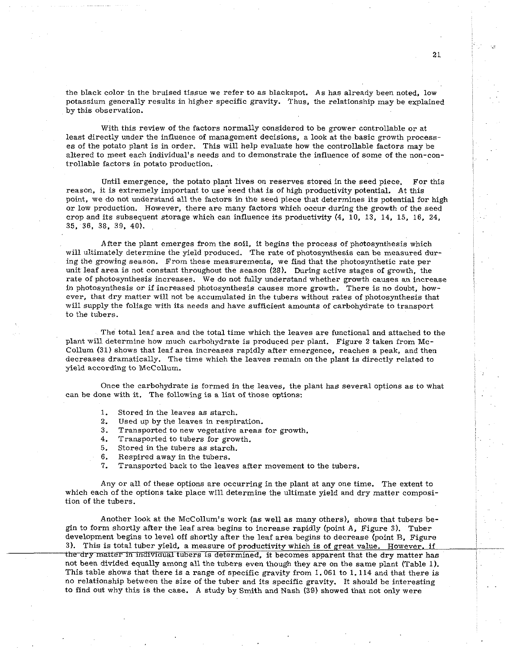the black color in the bruised tissue we refer to as blackspot. As has already been noted, low potassium generally results in higher specific gravity. Thus, the relationship may be explained by this observation.

With this review of the factors normally considered to be grower controllable or at least directly under the influence of management decisions, a look at the basic growth processes of the potato plant is in order. This will help evaluate how the controllable factors may be altered to meet each individual's needs and to demonstrate the influence of some of the non-controllable factors in potato production.

Until emergence, the potato plant lives on reserves stored in the seed piece. For this reason, it is extremely important to use seed that is of high productivity potential. At this point, we do not understand all the factors in the seed piece that determines its potential for high or low production. However, there are many factors which occur during the growth of the seed crop and its subsequent storage which can influence its productivity (4, 10, 13, 14, 15, 16, 24, 35, **36.** 38, 39. 40).

After the plant emerges from the soil, it begins the process of photosynthesis which will ultimately determine the yield produced. The rate of photosynthesis can be measured during the growing season. From these measurements, we find that the photosynthetic rate per unit leaf area is not constant throughout the season (28). During active stages of growth, the rate of photosynthesis increases. We do not fully understand whether growth causes an increase in photosynthesis or if increased photosynthesis causes more growth. There is no doubt, however, that dry matter will not be accumulated in the tubers without rates of photosynthesis that will supply the foliage with its needs and have sufficient amounts of carbohydrate to transport to the tubers.

The total leaf area and the total time which the leaves are functional and attached to the plant will determine how much carhohydrate is produced per plant. Figure 2 taken from Mc-Collum (31) shows that leaf area increases rapidly after emergence, reaches a peak, and then decreases dramatically. The time which the leaves remain on the plant is directly related to yield according to McCollum.

Once the carbohydrate is formed in the leaves, the plant has several options as to what can be done with it. The following is a list of those options:

- 1. Stored in the leaves as starch.
- 2. Used up by the leaves in respiration.
- 3. Transported to new vegetative areas for growth.
- 4. Transported to tubers for growth.
- 5. Stored in the tubers as starch.
- **6.** Respired away in the tuhers.
- 7. Transported back to the leaves after movement to the tubers.

Any or all of these options are occurring in the plant at any one time. The extent to which each of the options take place will determine the ultimate yield and dry matter composition of the tubers.

Another look at the McCollum's work (as well as many others), shows that tubers begin to form shortly after the leaf area hegins to increase rapidly (point A, Figure 3). Tuber development begins to level off shortly after the leaf area begins to decrease (point B. Figure 3). This is total tuber yield, a measure of productivity which is of great value. However, if the dry matter in individual tubers is determined, it becomes apparent that the dry matter has not been divided equally among all the tubers even though they are on the same plant (Table 1). This table shows that there is a range of specific gravity from 1.061 to 1.114 and that there is no relationship between the size of the tuber and its specific gravity. It should be interesting to find out why this is the case. A study by Smith and Nash (39) showed that not only were

21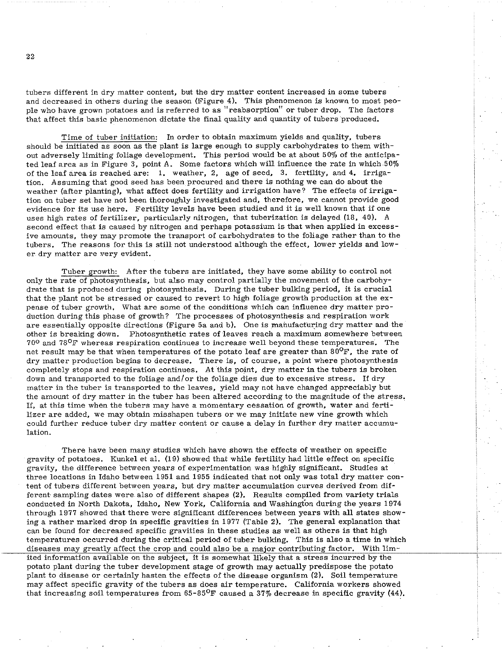tubers different in dry matter content, but the dry matter content increased in some tubers and decreased in others during the season (Figure 4). This phenomenon is known to most people who have grown potatoes and is referred to as "reabsorption" or tuber drop. The factors that affect this basic phenomenon dictate the final quality and quantity of tubers produced.

Time of tuber initiation: In order to obtain maximum yields and quality, tubers should be initiated as soon as the plant is large enough to supply carbohydrates to them without adversely limiting foliage development. This period would be at about 50% of the anticipated leaf area as in Figure 3, point A. Some factors which will influence the rate in which 50% of the leaf area is reached are: 1. weather, 2, age of seed, 3. fertility, and 4. irrigation. Assuming that good seed has been procured and there is nothing we can do about the weather (after planting), what affect does fertility and irrigation have? The effects of irrigation on tuber set have not been thoroughly investigated and, therefore, we cannot provide good evidence for its use here. Fertility levels have been studied and it is well known that if one uses high rates of fertilizer, particularly nitrogen, that tuberization is delayed (18, 40). A second effect that is caused by nitrogen and perhaps potassium is that when applied in excessive amounts, they may promote the transport of carbohydrates to the foliage rather than to the tubers. The reasons for this is still not understood although the effect, lower yields and lower dry matter are very evident.

Tuber growth: After the tubers are initiated, they have some ability to control not only the rate of photosynthesis, but also may control partially the movement of the carbohydrate that is produced during photosynthesis. During the tuber bulking period, it is crucial that the plant not be stressed or caused to revert to high foliage growth production at the expense of tuber growth. What are some of the conditions which can influence dry matter production during this phase of growth? The processes of photosynthesis and respiration work are essentially opposite directions (Figure 5a and b). One is manufacturing dry matter and the other is breaking down. Photosynthetic rates of leaves reach a maximum somewhere between 700 and 78OF whereas respiration continues to increase well beyond these temperatures. The net result may be that when temperatures of the potato leaf are greater than  $80^{\circ}$ F, the rate of dry matter production begins to decrease. There is, of course, a point where photosynthesis completely stops and respiration continues. At this point, dry matter in the tubers is broken down and transported to the foliage and/or the foliage dies due to excessive stress. If dry matter in the tuber is transported to the leaves, yield may not have changed appreciably but the amount of dry matter in the tuber has been altered according to the magnitude of the stress. If, at this time when the tubers may have a momentary cessation of growth, water and fertilizer are added, we may obtain misshapen tubers or we may initiate new vine growth which could further reduce tuber dry matter content or cause a delay in further dry matter accumulation.

There have been many studies which have shown the effects of weather on specific gravity of potatoes. Kunkel et al. (19) showed that while fertility had little effect on specific gravity, the difference between years of experimentation was highly significant. Studies at three locations in Idaho between 1951 and 1955 indicated that not only was total dry matter content of tubers different between years, but dry matter accumulation curves derived from different sampling dates were also of different shapes **(2).** Results compiled from variety trials conducted in North Dakota, Idaho, New York, California and Washingtbn during the years 1974 through 1977 showed that there were significant differences between years with all states showing a rather marked drop in specific gravities in 1977 (Table 2). The general explanation that can be found for decreased specific gravities in these studies as well as others is that high temperatures occurred during the critical period of tuber bulking. This is also a time in which diseases may greatly affect the crop and could also be a major contributing factor. With limited information available on the subject, it is somewhat likely that a stress incurred by the potato plant during the tuber development stage of growth may actually predispose the potato plant to disease or certainly hasten the effects of the disease organism (2). Soil temperature may affect specific gravity of the tubers as does air temperature. California workers showed that increasing soil temperatures from  $65-85^{\circ}F$  caused a 37% decrease in specific gravity (44).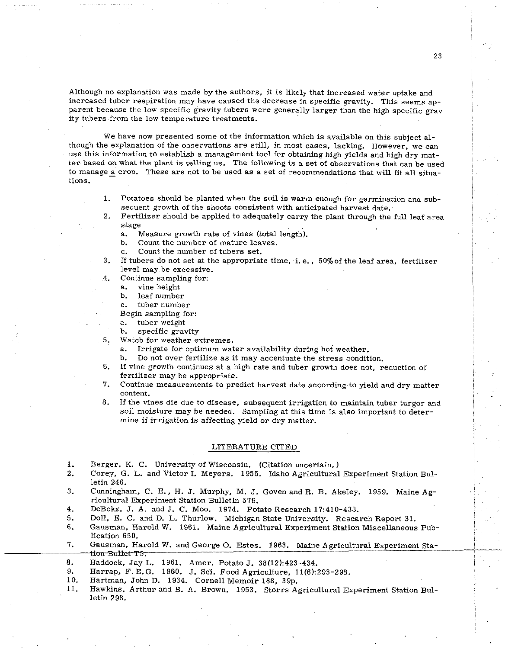Although no explanation was made by the authors, it is likely that increased water uptake and increased tuber respiration may have caused the decrease in specific gravity. This seems apparent because the low specific gravity tubers were generally larger than the high specific gravity tubers from the low temperature treatments.

We have now presented some of the information which is available on this subject although the explanation of the observations are still, in most cases, lacking. However, we can use this information to establish a management tool for obtaining high yields and high dry matter based on what the plant is telling us. The following is a set of observations that can be used to manage a crop. These are not to be used as a set of recommendations that will fit all situations.

- 1. Potatoes should he planted when the soil is warm enough for germination and subsequent growth of the shoots consistent with anticipated harvest date.
- $2.$ Fertilizer should be applied to adequately carry the plant through the full leaf area stage
	- a. Measure growth rate of vines (total length).
	- b. Count the number of mature leaves.
	- c. Count the number of tubers set.
- If tubers do not set at the appropriate time, i. e.. 50%of the leaf area, fertilizer  $3.$ level may be excessive.
- Continue sampling for:  $4.$ 
	- a. vine height
	- b. leaf number
	- c. tuber number
	- Begin sampling for:
	- a. tuber weight
	- b. specific gravity
- 5. Watch for weather extremes.
	- a. Irrigate for optimum water availability during hot weather.
	- b. Do not over fertilize as it may accentuate the stress condition.
- 6. If vine growth continues at a high rate and tuber growth does not, reduction of fertilizer may be appropriate.
- 7. Continue measurements to predict harvest date according to yield and dry matter content.
- 8. If the vines die due to disease, subsequent irrigation to maintain tuber turgor and soil moisture may be needed. Sampling at this time is also important to determine if irrigation is affecting yield or dry matter.

## LITERATURE CITED

- 1. Berger, K. C. University of Wisconsin. (Citation uncertain. )
- 2. Corey, G. L. and Victor I. Meyers. 1955. Idaho Agricultural Experiment Station Bulletin 246.
- 3. Cunningham, C. E.. H. J. Murphy, M. J. Goven and R. B. Akeley. 1959. Maine Agricultural Experiment Station Bulletin 579.
- 4. DeBokx, J. A. and J. C. Moo. 1974. Potato Research 17:410-433.<br>5. Doll. E. C. and D. L. Thurlow. Michigan State University. Resea
- 5. Doll, E. C. and D. L. Thurlow. Michigan State University. Research Report 31.<br>6. Gausman, Harold W. 1961. Maine Agricultural Experiment Station Miscellaneous
- 6. Gausman, Harold W. 1961. Maine Agricultural Experiment Station Miscellaneous Publication 650.
- 7. Gausman, Harold W. and George O. Estes. 1963. Maine Agricultural Experiment Sta-<br>
tion-Builet T5.
- 8. Haddock, Jay L. 1961. Amer. Potato J. 38(12):423-434.
- 9. Harrap, F.E.G. 1960. J. Sci. Food Agriculture, 11(6):293-298.
- 10. Hartman, John D. 1934. Cornell Memoir 168, 39p.
- 11. Hawkins, Arthur and B. A. Brown. 1953. Storrs Agricultural Experiment Station Bulletin 298.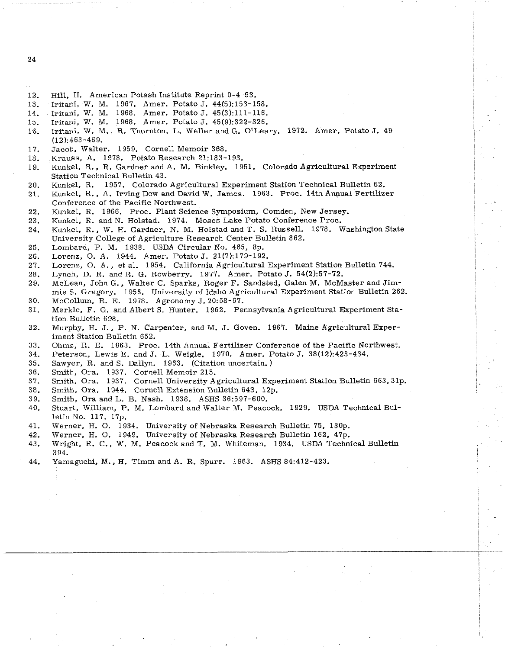- 24
- 12. Hill, H. American Potash Institute Reprint 0-4-53.
- Iritani, W. M. 1967. Amer. Potato J. 44(5):153-158.  $13<sup>7</sup>$
- 14. Iritani, W. M. 1968. Amer. Potato J. 45(3):111-116.
- Iritani, W. M. 1968. Amer. Potato J. 45(9):322-326.  $15 -$
- Iritani. W. M., R. Thornton, L. Weller and G. O'Leary. 1972. Amer. Potato J. 49 16. (12):463-469.
- 17. Jacob, Walter. 1959. Cornell Memoir 368.
- $18.$ Krauss, A. 1978. Potato Research 21:183-193.
- Kunkel, R., R. Gardner and A. M. Binkley. 1951. Colorado Agricultural Experiment 19. Station Technical Bulletin 43.
- 20. Kunkel, R. 1957. Colorado Agricultural Experiment Station Technical Bulletin 62.
- Kunkel, R., A. Irving Dow and David W. James. 1963. Proc. 14th Annual Fertilizer  $21.$ Conference of the Pacific Northwest.
- Kunkel, R. 1966. Proc. Plant Science Symposium, Comden, New Jersey. 22.
- Kunkel, R. and N. Holstad. 1974. Moses Lake Potato Conference Proc. 23.
- 24. Kunkel, R., W. H. Gardner. N. M. Holstad and T. S. Russell. 1978. Washington State University College of Agriculture Research Center Bulletin 862.
- Lombard, P. M. 1938. USDA Circular No. 465, 8p. 25.
- 26. Lorenz, 0. A. 1944. Amer. Potato J. 21(7):179-192.
- 27. Lorenz, 0. A., et al. 1954. California Agricultural Experiment Station Bulletin 744.
- Lynch, D. R. and R. G. Rowberry. 1977. Amer. Potato J. 54(2):57-72. 28.
- 29. McLean, John G.. Walter C. Sparks, Roger F. Sandsted, Galen M. McMaster and Jimmie S. Gregory. 1956. University of Idaho Agricultural Experiment Station Bulletin 262.
- 30. McCollum, R. E. 1978. Agronomy J. 20:58-67.
- 31. Merkle, F. G. and Albert S. Hunter. 1962. Pennsylvania Agricultural Experiment Station Bulletin 698.
- 32. Murphy, H. J., P. N. Carpenter, and M. J. Goven. 1967. Maine Agricultural Experiment Station Bulletin 652.
- 33. Ohms, R. E. 1963. Proc. 14th Annual Fertilizer Conference of the Pacific Northwest.
- Peterson, Lewis E. and J. L. Weigle. 1970. Amer. Potato J. 38(12):423-434. 34.
- Sawyer, R. and S. Dallyn. 1963. (Citation uncertain. ) 35.
- 36. Smith, Ora. 1937. Cornell Memoir 215.
- Smith, Ora. 1937. Cornell University Agricultural Experiment Station Bulletin 663,31p. 37.
- Smith, Ora. 1944. Cornell Extension Bulletin 643. 12p. 38.
- Smith, Ora and L. B. Nash. 1938. ASHS 36:597-600. 39.
- Stuart, William, P. M. Lombard and Walter M. Peacock. 1929. USDA Technical Bul-40. letin No. 117, 17p.
- Werner, H. 0. 1934. University of Nebraska Research Bulletin 75, 130p. 41.
- 42. Werner, H. 0. 1949. University of Nebraska Research Bulletin 162, 47p.
- 43. Wright, R. C., W. M. Peacock and T. M. Whiteman. 1934. USDA Technical Bulletin 394.
- 44. Yamaguchi, M., H. Timm and A. R. Spurr. 1963. ASHS 84:412-423.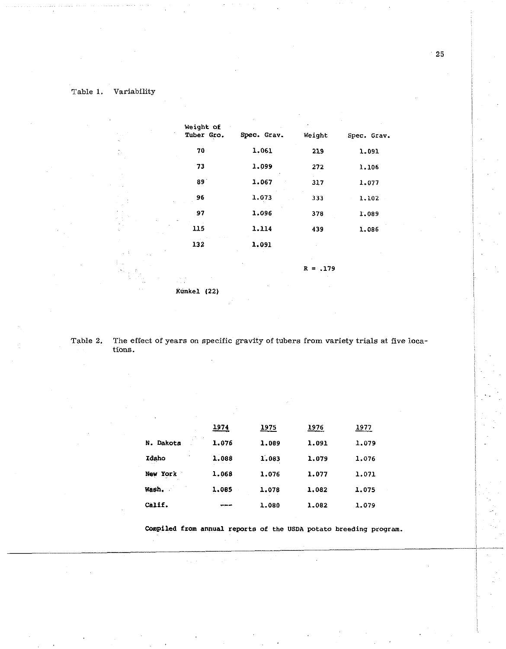| Weight of<br>Tuber Gro. | Spec. Grav. | Weight     | Spec. Grav. |
|-------------------------|-------------|------------|-------------|
| 70                      | 1,061       | 219        | 1.091       |
| 73                      | 1.099       | 272        | 1.106       |
| 89                      | 1.067       | 317        | 1.077       |
| 96                      | 1.073       | 333        | 1.102       |
| 97                      | 1.096       | 378        | 1.089       |
| 115                     | 1.114       | 439        | 1,086       |
| 132<br>ż                | 1.091       |            |             |
|                         |             | $R = .179$ |             |
| Kunkel (22)             |             |            |             |

Table 2. The effect of years on specific gravity of tubers from variety trials at five locatïons.

| ٠                                                     | 1974  | <u> 1975</u> | 1976  | 1977  |  |  |
|-------------------------------------------------------|-------|--------------|-------|-------|--|--|
| <b>16</b><br>$\mathcal{L}_{\mathcal{L}}$<br>N. Dakota | 1.076 | 1,089        | 1.091 | 1.079 |  |  |
| Idaho                                                 | 1.088 | 1.083        | 1.079 | 1.076 |  |  |
| New York                                              | 1.068 | 1.076        | 1.077 | 1.071 |  |  |
| Wash.                                                 | 1.085 | 1.078        | 1.082 | 1.075 |  |  |
| Calif.                                                |       | 1.080        | 1.082 | 1.079 |  |  |

**Compiled from annual reports of the USDA potato breeding program.** 

 $\sim 10^{-1}$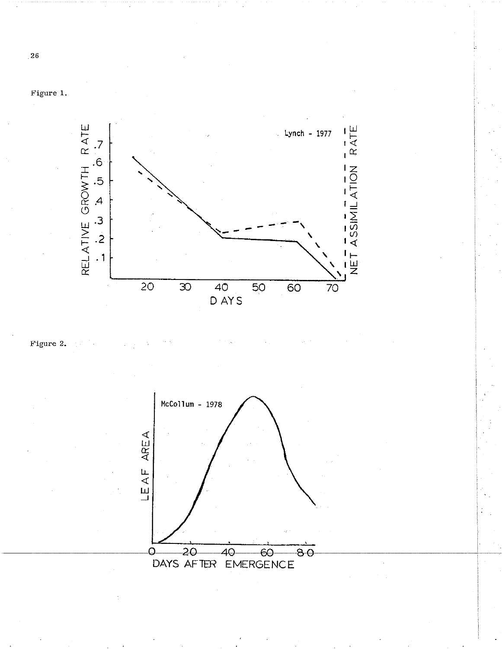

Figure 2.





 $26\phantom{.}$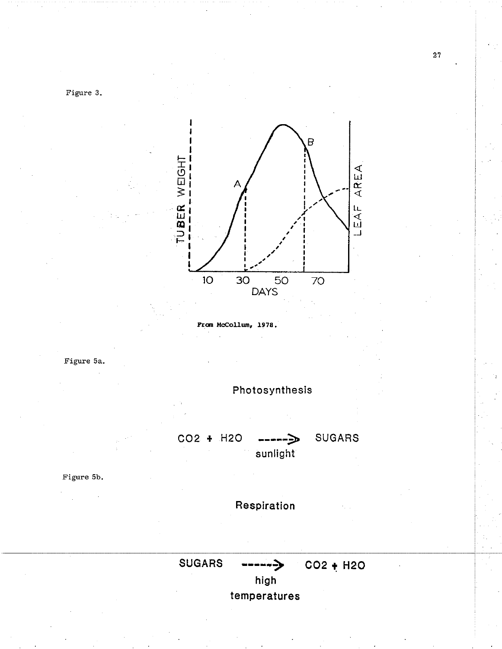

**Prom Mccollurn, 1978.** 







Figure 5b.

**Respiration** 



**SUGARS ----I-) C02** + **H20** 

**high temperatures**